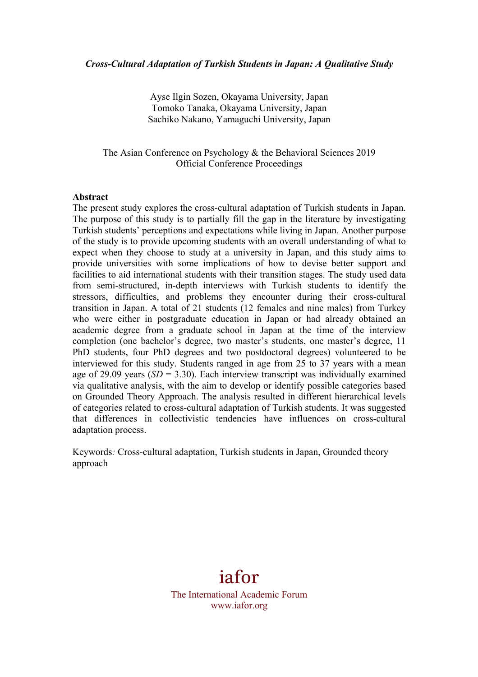Ayse Ilgin Sozen, Okayama University, Japan Tomoko Tanaka, Okayama University, Japan Sachiko Nakano, Yamaguchi University, Japan

The Asian Conference on Psychology & the Behavioral Sciences 2019 Official Conference Proceedings

## **Abstract**

The present study explores the cross-cultural adaptation of Turkish students in Japan. The purpose of this study is to partially fill the gap in the literature by investigating Turkish students' perceptions and expectations while living in Japan. Another purpose of the study is to provide upcoming students with an overall understanding of what to expect when they choose to study at a university in Japan, and this study aims to provide universities with some implications of how to devise better support and facilities to aid international students with their transition stages. The study used data from semi-structured, in-depth interviews with Turkish students to identify the stressors, difficulties, and problems they encounter during their cross-cultural transition in Japan. A total of 21 students (12 females and nine males) from Turkey who were either in postgraduate education in Japan or had already obtained an academic degree from a graduate school in Japan at the time of the interview completion (one bachelor's degree, two master's students, one master's degree, 11 PhD students, four PhD degrees and two postdoctoral degrees) volunteered to be interviewed for this study. Students ranged in age from 25 to 37 years with a mean age of 29.09 years  $(SD = 3.30)$ . Each interview transcript was individually examined via qualitative analysis, with the aim to develop or identify possible categories based on Grounded Theory Approach. The analysis resulted in different hierarchical levels of categories related to cross-cultural adaptation of Turkish students. It was suggested that differences in collectivistic tendencies have influences on cross-cultural adaptation process.

Keywords*:* Cross-cultural adaptation, Turkish students in Japan, Grounded theory approach

# iafor

The International Academic Forum www.iafor.org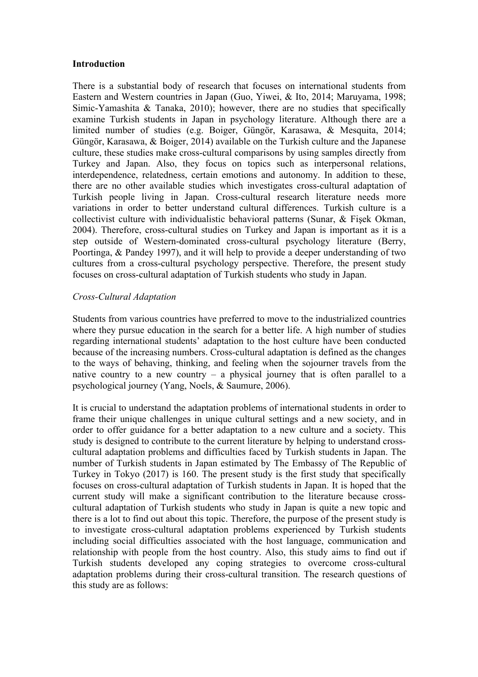# **Introduction**

There is a substantial body of research that focuses on international students from Eastern and Western countries in Japan (Guo, Yiwei, & Ito, 2014; Maruyama, 1998; Simic-Yamashita & Tanaka, 2010); however, there are no studies that specifically examine Turkish students in Japan in psychology literature. Although there are a limited number of studies (e.g. Boiger, Güngör, Karasawa, & Mesquita, 2014; Güngör, Karasawa, & Boiger, 2014) available on the Turkish culture and the Japanese culture, these studies make cross-cultural comparisons by using samples directly from Turkey and Japan. Also, they focus on topics such as interpersonal relations, interdependence, relatedness, certain emotions and autonomy. In addition to these, there are no other available studies which investigates cross-cultural adaptation of Turkish people living in Japan. Cross-cultural research literature needs more variations in order to better understand cultural differences. Turkish culture is a collectivist culture with individualistic behavioral patterns (Sunar, & Fişek Okman, 2004). Therefore, cross-cultural studies on Turkey and Japan is important as it is a step outside of Western-dominated cross-cultural psychology literature (Berry, Poortinga, & Pandey 1997), and it will help to provide a deeper understanding of two cultures from a cross-cultural psychology perspective. Therefore, the present study focuses on cross-cultural adaptation of Turkish students who study in Japan.

# *Cross-Cultural Adaptation*

Students from various countries have preferred to move to the industrialized countries where they pursue education in the search for a better life. A high number of studies regarding international students' adaptation to the host culture have been conducted because of the increasing numbers. Cross-cultural adaptation is defined as the changes to the ways of behaving, thinking, and feeling when the sojourner travels from the native country to a new country – a physical journey that is often parallel to a psychological journey (Yang, Noels, & Saumure, 2006).

It is crucial to understand the adaptation problems of international students in order to frame their unique challenges in unique cultural settings and a new society, and in order to offer guidance for a better adaptation to a new culture and a society. This study is designed to contribute to the current literature by helping to understand crosscultural adaptation problems and difficulties faced by Turkish students in Japan. The number of Turkish students in Japan estimated by The Embassy of The Republic of Turkey in Tokyo (2017) is 160. The present study is the first study that specifically focuses on cross-cultural adaptation of Turkish students in Japan. It is hoped that the current study will make a significant contribution to the literature because crosscultural adaptation of Turkish students who study in Japan is quite a new topic and there is a lot to find out about this topic. Therefore, the purpose of the present study is to investigate cross-cultural adaptation problems experienced by Turkish students including social difficulties associated with the host language, communication and relationship with people from the host country. Also, this study aims to find out if Turkish students developed any coping strategies to overcome cross-cultural adaptation problems during their cross-cultural transition. The research questions of this study are as follows: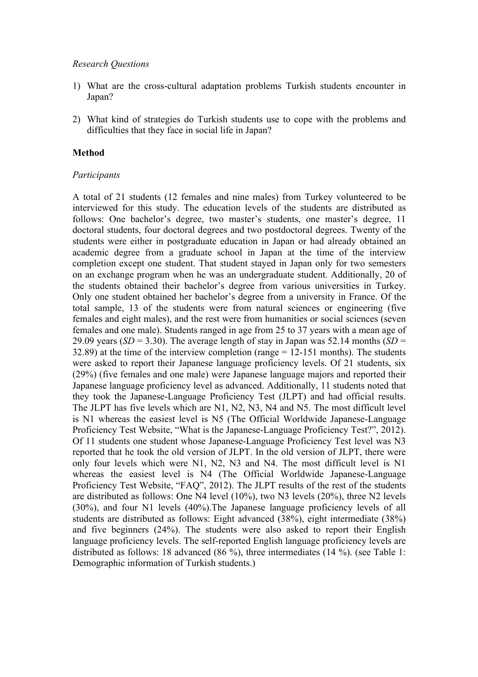## *Research Questions*

- 1) What are the cross-cultural adaptation problems Turkish students encounter in Japan?
- 2) What kind of strategies do Turkish students use to cope with the problems and difficulties that they face in social life in Japan?

## **Method**

## *Participants*

A total of 21 students (12 females and nine males) from Turkey volunteered to be interviewed for this study. The education levels of the students are distributed as follows: One bachelor's degree, two master's students, one master's degree, 11 doctoral students, four doctoral degrees and two postdoctoral degrees. Twenty of the students were either in postgraduate education in Japan or had already obtained an academic degree from a graduate school in Japan at the time of the interview completion except one student. That student stayed in Japan only for two semesters on an exchange program when he was an undergraduate student. Additionally, 20 of the students obtained their bachelor's degree from various universities in Turkey. Only one student obtained her bachelor's degree from a university in France. Of the total sample, 13 of the students were from natural sciences or engineering (five females and eight males), and the rest were from humanities or social sciences (seven females and one male). Students ranged in age from 25 to 37 years with a mean age of 29.09 years ( $SD = 3.30$ ). The average length of stay in Japan was 52.14 months ( $SD =$ 32.89) at the time of the interview completion (range = 12-151 months). The students were asked to report their Japanese language proficiency levels. Of 21 students, six (29%) (five females and one male) were Japanese language majors and reported their Japanese language proficiency level as advanced. Additionally, 11 students noted that they took the Japanese-Language Proficiency Test (JLPT) and had official results. The JLPT has five levels which are N1, N2, N3, N4 and N5. The most difficult level is N1 whereas the easiest level is N5 (The Official Worldwide Japanese-Language Proficiency Test Website, "What is the Japanese-Language Proficiency Test?", 2012). Of 11 students one student whose Japanese-Language Proficiency Test level was N3 reported that he took the old version of JLPT. In the old version of JLPT, there were only four levels which were N1, N2, N3 and N4. The most difficult level is N1 whereas the easiest level is N4 (The Official Worldwide Japanese-Language Proficiency Test Website, "FAQ", 2012). The JLPT results of the rest of the students are distributed as follows: One N4 level (10%), two N3 levels (20%), three N2 levels (30%), and four N1 levels (40%).The Japanese language proficiency levels of all students are distributed as follows: Eight advanced (38%), eight intermediate (38%) and five beginners (24%). The students were also asked to report their English language proficiency levels. The self-reported English language proficiency levels are distributed as follows: 18 advanced (86 %), three intermediates (14 %). (see Table 1: Demographic information of Turkish students.)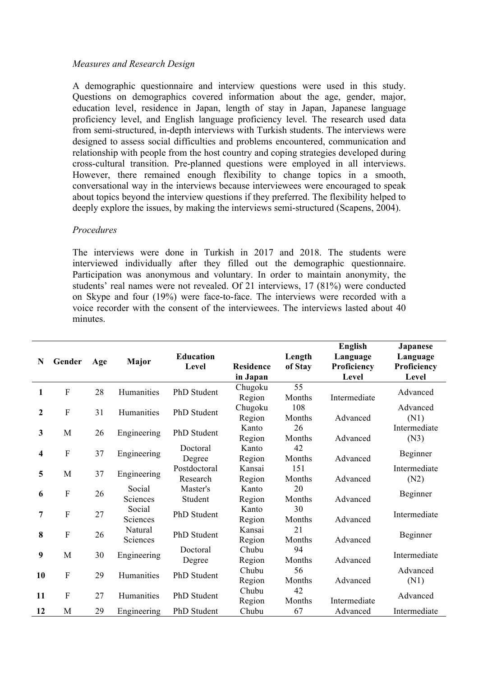# *Measures and Research Design*

A demographic questionnaire and interview questions were used in this study. Questions on demographics covered information about the age, gender, major, education level, residence in Japan, length of stay in Japan, Japanese language proficiency level, and English language proficiency level. The research used data from semi-structured, in-depth interviews with Turkish students. The interviews were designed to assess social difficulties and problems encountered, communication and relationship with people from the host country and coping strategies developed during cross-cultural transition. Pre-planned questions were employed in all interviews. However, there remained enough flexibility to change topics in a smooth, conversational way in the interviews because interviewees were encouraged to speak about topics beyond the interview questions if they preferred. The flexibility helped to deeply explore the issues, by making the interviews semi-structured (Scapens, 2004).

# *Procedures*

The interviews were done in Turkish in 2017 and 2018. The students were interviewed individually after they filled out the demographic questionnaire. Participation was anonymous and voluntary. In order to maintain anonymity, the students' real names were not revealed. Of 21 interviews, 17 (81%) were conducted on Skype and four (19%) were face-to-face. The interviews were recorded with a voice recorder with the consent of the interviewees. The interviews lasted about 40 minutes.

| N                | Gender                    | Age | Major               | <b>Education</b><br>Level | <b>Residence</b><br>in Japan | Length<br>of Stay | English<br>Language<br>Proficiency<br>Level | <b>Japanese</b><br>Language<br>Proficiency<br>Level |
|------------------|---------------------------|-----|---------------------|---------------------------|------------------------------|-------------------|---------------------------------------------|-----------------------------------------------------|
| 1                | ${\bf F}$                 | 28  | Humanities          | PhD Student               | Chugoku<br>Region            | 55<br>Months      | Intermediate                                | Advanced                                            |
| $\boldsymbol{2}$ | ${\bf F}$                 | 31  | Humanities          | PhD Student               | Chugoku<br>Region            | 108<br>Months     | Advanced                                    | Advanced<br>(N1)                                    |
| $\mathbf{3}$     | M                         | 26  | Engineering         | PhD Student               | Kanto<br>Region              | 26<br>Months      | Advanced                                    | Intermediate<br>(N3)                                |
| 4                | $\boldsymbol{\mathrm{F}}$ | 37  | Engineering         | Doctoral<br>Degree        | Kanto<br>Region              | 42<br>Months      | Advanced                                    | Beginner                                            |
| 5                | M                         | 37  | Engineering         | Postdoctoral<br>Research  | Kansai<br>Region             | 151<br>Months     | Advanced                                    | Intermediate<br>(N2)                                |
| 6                | ${\bf F}$                 | 26  | Social<br>Sciences  | Master's<br>Student       | Kanto<br>Region              | 20<br>Months      | Advanced                                    | Beginner                                            |
| 7                | $\mathbf{F}$              | 27  | Social<br>Sciences  | PhD Student               | Kanto<br>Region              | 30<br>Months      | Advanced                                    | Intermediate                                        |
| 8                | $\mathbf{F}$              | 26  | Natural<br>Sciences | PhD Student               | Kansai<br>Region             | 21<br>Months      | Advanced                                    | Beginner                                            |
| 9                | M                         | 30  | Engineering         | Doctoral<br>Degree        | Chubu<br>Region              | 94<br>Months      | Advanced                                    | Intermediate                                        |
| 10               | ${\bf F}$                 | 29  | Humanities          | PhD Student               | Chubu<br>Region              | 56<br>Months      | Advanced                                    | Advanced<br>(N1)                                    |
| 11               | $\mathbf{F}$              | 27  | Humanities          | <b>PhD</b> Student        | Chubu<br>Region              | 42<br>Months      | Intermediate                                | Advanced                                            |
| 12               | M                         | 29  | Engineering         | PhD Student               | Chubu                        | 67                | Advanced                                    | Intermediate                                        |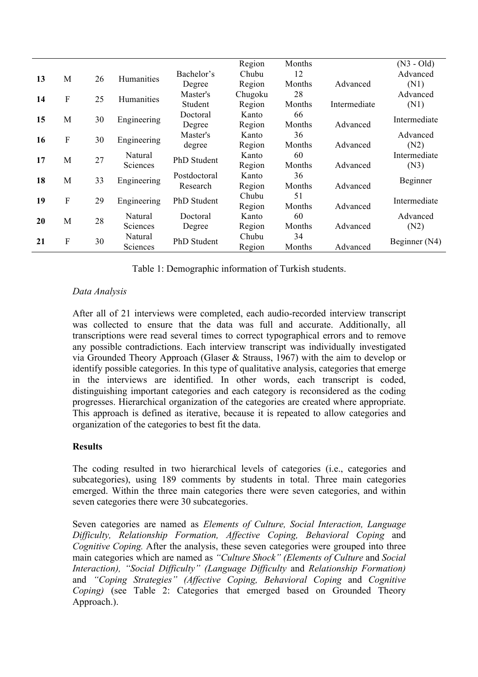|    |             |    |                     |              | Region  | Months |              | $(N3 - Old)$  |  |
|----|-------------|----|---------------------|--------------|---------|--------|--------------|---------------|--|
| 13 | M           | 26 | Humanities          | Bachelor's   | Chubu   | 12     |              | Advanced      |  |
|    |             |    |                     | Degree       | Region  | Months | Advanced     | (N1)          |  |
| 14 | F           | 25 | Humanities          | Master's     | Chugoku | 28     |              | Advanced      |  |
|    |             |    |                     | Student      | Region  | Months | Intermediate | (N1)          |  |
| 15 | M           | 30 | Engineering         | Doctoral     | Kanto   | 66     |              | Intermediate  |  |
|    |             |    |                     | Degree       | Region  | Months | Advanced     |               |  |
| 16 | $\mathbf F$ | 30 | Engineering         | Master's     | Kanto   | 36     |              | Advanced      |  |
|    |             |    |                     | degree       | Region  | Months | Advanced     | (N2)          |  |
| 17 | M           | 27 | Natural<br>Sciences | PhD Student  | Kanto   | 60     |              | Intermediate  |  |
|    |             |    |                     |              | Region  | Months | Advanced     | (N3)          |  |
| 18 | M           | 33 | Engineering         | Postdoctoral | Kanto   | 36     |              | Beginner      |  |
|    |             |    |                     | Research     | Region  | Months | Advanced     |               |  |
| 19 | $\mathbf F$ | 29 | Engineering         | PhD Student  | Chubu   | 51     |              | Intermediate  |  |
|    |             |    |                     |              | Region  | Months | Advanced     |               |  |
| 20 | M           | 28 | Natural             | Doctoral     | Kanto   | 60     |              | Advanced      |  |
|    |             |    | Sciences            | Degree       | Region  | Months | Advanced     | (N2)          |  |
| 21 | $\mathbf F$ | 30 | Natural<br>Sciences | PhD Student  | Chubu   | 34     |              | Beginner (N4) |  |
|    |             |    |                     |              | Region  | Months | Advanced     |               |  |

Table 1: Demographic information of Turkish students.

# *Data Analysis*

After all of 21 interviews were completed, each audio-recorded interview transcript was collected to ensure that the data was full and accurate. Additionally, all transcriptions were read several times to correct typographical errors and to remove any possible contradictions. Each interview transcript was individually investigated via Grounded Theory Approach (Glaser & Strauss, 1967) with the aim to develop or identify possible categories. In this type of qualitative analysis, categories that emerge in the interviews are identified. In other words, each transcript is coded, distinguishing important categories and each category is reconsidered as the coding progresses. Hierarchical organization of the categories are created where appropriate. This approach is defined as iterative, because it is repeated to allow categories and organization of the categories to best fit the data.

# **Results**

The coding resulted in two hierarchical levels of categories (i.e., categories and subcategories), using 189 comments by students in total. Three main categories emerged. Within the three main categories there were seven categories, and within seven categories there were 30 subcategories.

Seven categories are named as *Elements of Culture, Social Interaction, Language Difficulty, Relationship Formation, Affective Coping, Behavioral Coping* and *Cognitive Coping.* After the analysis, these seven categories were grouped into three main categories which are named as *"Culture Shock" (Elements of Culture* and *Social Interaction), "Social Difficulty" (Language Difficulty* and *Relationship Formation)* and *"Coping Strategies" (Affective Coping, Behavioral Coping* and *Cognitive Coping)* (see Table 2: Categories that emerged based on Grounded Theory Approach.).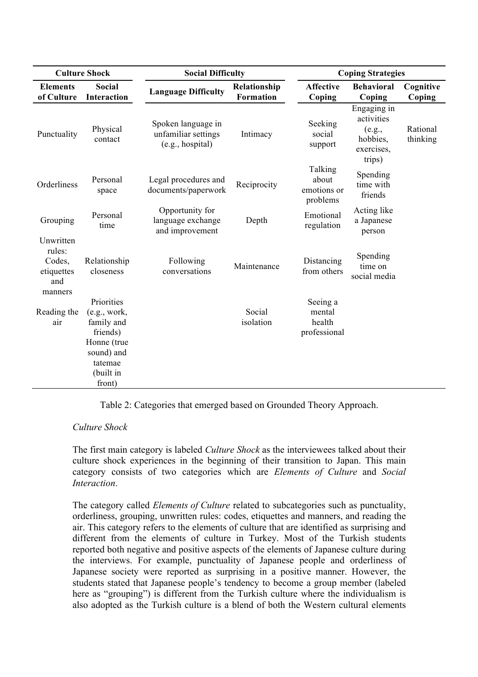|                                                               | <b>Culture Shock</b>                                                                                                | <b>Social Difficulty</b>                                      |                                  | <b>Coping Strategies</b>                     |                                                                         |                      |  |
|---------------------------------------------------------------|---------------------------------------------------------------------------------------------------------------------|---------------------------------------------------------------|----------------------------------|----------------------------------------------|-------------------------------------------------------------------------|----------------------|--|
| <b>Elements</b><br>of Culture                                 | <b>Social</b><br>Interaction                                                                                        | <b>Language Difficulty</b>                                    | Relationship<br><b>Formation</b> | <b>Affective</b><br>Coping                   | <b>Behavioral</b><br>Coping                                             | Cognitive<br>Coping  |  |
| Punctuality                                                   | Physical<br>contact                                                                                                 | Spoken language in<br>unfamiliar settings<br>(e.g., hospital) | Intimacy                         | Seeking<br>social<br>support                 | Engaging in<br>activities<br>(e.g.,<br>hobbies,<br>exercises.<br>trips) | Rational<br>thinking |  |
| Orderliness                                                   | Personal<br>space                                                                                                   | Legal procedures and<br>documents/paperwork                   | Reciprocity                      | Talking<br>about<br>emotions or<br>problems  | Spending<br>time with<br>friends                                        |                      |  |
| Grouping                                                      | Personal<br>time                                                                                                    | Opportunity for<br>language exchange<br>and improvement       | Depth                            | Emotional<br>regulation                      | Acting like<br>a Japanese<br>person                                     |                      |  |
| Unwritten<br>rules:<br>Codes,<br>etiquettes<br>and<br>manners | Relationship<br>closeness                                                                                           | Following<br>conversations                                    | Maintenance                      | Distancing<br>from others                    | Spending<br>time on<br>social media                                     |                      |  |
| Reading the<br>air                                            | Priorities<br>(e.g., work,<br>family and<br>friends)<br>Honne (true<br>sound) and<br>tatemae<br>(built in<br>front) |                                                               | Social<br>isolation              | Seeing a<br>mental<br>health<br>professional |                                                                         |                      |  |

Table 2: Categories that emerged based on Grounded Theory Approach.

# *Culture Shock*

The first main category is labeled *Culture Shock* as the interviewees talked about their culture shock experiences in the beginning of their transition to Japan. This main category consists of two categories which are *Elements of Culture* and *Social Interaction*.

The category called *Elements of Culture* related to subcategories such as punctuality, orderliness, grouping, unwritten rules: codes, etiquettes and manners, and reading the air. This category refers to the elements of culture that are identified as surprising and different from the elements of culture in Turkey. Most of the Turkish students reported both negative and positive aspects of the elements of Japanese culture during the interviews. For example, punctuality of Japanese people and orderliness of Japanese society were reported as surprising in a positive manner. However, the students stated that Japanese people's tendency to become a group member (labeled here as "grouping") is different from the Turkish culture where the individualism is also adopted as the Turkish culture is a blend of both the Western cultural elements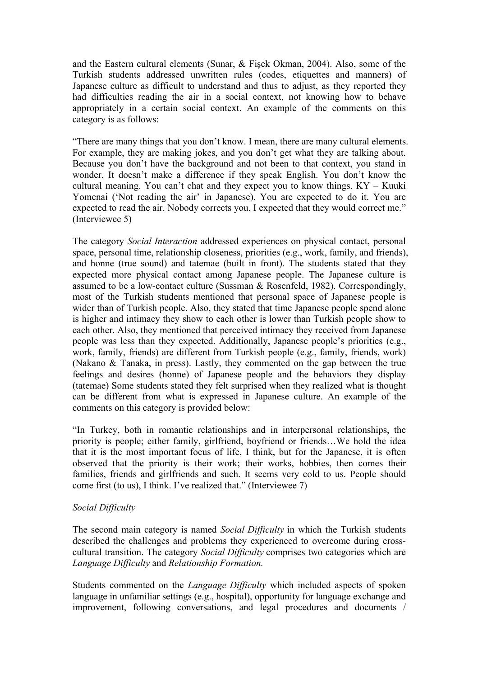and the Eastern cultural elements (Sunar, & Fişek Okman, 2004). Also, some of the Turkish students addressed unwritten rules (codes, etiquettes and manners) of Japanese culture as difficult to understand and thus to adjust, as they reported they had difficulties reading the air in a social context, not knowing how to behave appropriately in a certain social context. An example of the comments on this category is as follows:

"There are many things that you don't know. I mean, there are many cultural elements. For example, they are making jokes, and you don't get what they are talking about. Because you don't have the background and not been to that context, you stand in wonder. It doesn't make a difference if they speak English. You don't know the cultural meaning. You can't chat and they expect you to know things. KY – Kuuki Yomenai ('Not reading the air' in Japanese). You are expected to do it. You are expected to read the air. Nobody corrects you. I expected that they would correct me." (Interviewee 5)

The category *Social Interaction* addressed experiences on physical contact, personal space, personal time, relationship closeness, priorities (e.g., work, family, and friends), and honne (true sound) and tatemae (built in front). The students stated that they expected more physical contact among Japanese people. The Japanese culture is assumed to be a low-contact culture (Sussman & Rosenfeld, 1982). Correspondingly, most of the Turkish students mentioned that personal space of Japanese people is wider than of Turkish people. Also, they stated that time Japanese people spend alone is higher and intimacy they show to each other is lower than Turkish people show to each other. Also, they mentioned that perceived intimacy they received from Japanese people was less than they expected. Additionally, Japanese people's priorities (e.g., work, family, friends) are different from Turkish people (e.g., family, friends, work) (Nakano & Tanaka, in press). Lastly, they commented on the gap between the true feelings and desires (honne) of Japanese people and the behaviors they display (tatemae) Some students stated they felt surprised when they realized what is thought can be different from what is expressed in Japanese culture. An example of the comments on this category is provided below:

"In Turkey, both in romantic relationships and in interpersonal relationships, the priority is people; either family, girlfriend, boyfriend or friends…We hold the idea that it is the most important focus of life, I think, but for the Japanese, it is often observed that the priority is their work; their works, hobbies, then comes their families, friends and girlfriends and such. It seems very cold to us. People should come first (to us), I think. I've realized that." (Interviewee 7)

# *Social Difficulty*

The second main category is named *Social Difficulty* in which the Turkish students described the challenges and problems they experienced to overcome during crosscultural transition. The category *Social Difficulty* comprises two categories which are *Language Difficulty* and *Relationship Formation.*

Students commented on the *Language Difficulty* which included aspects of spoken language in unfamiliar settings (e.g., hospital), opportunity for language exchange and improvement, following conversations, and legal procedures and documents /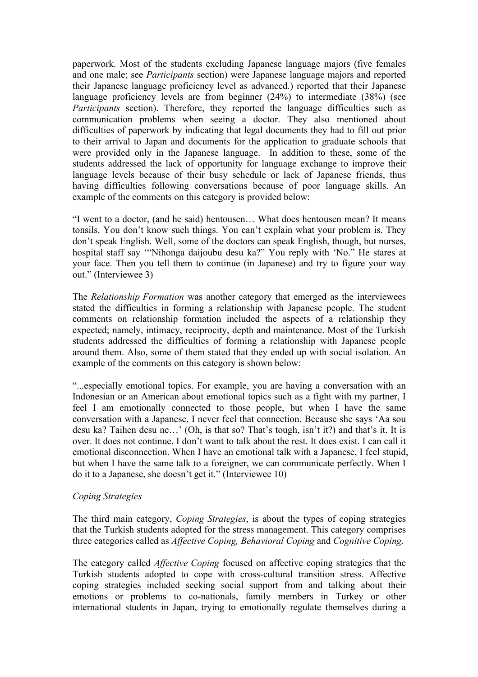paperwork. Most of the students excluding Japanese language majors (five females and one male; see *Participants* section) were Japanese language majors and reported their Japanese language proficiency level as advanced.) reported that their Japanese language proficiency levels are from beginner (24%) to intermediate (38%) (see *Participants* section). Therefore, they reported the language difficulties such as communication problems when seeing a doctor. They also mentioned about difficulties of paperwork by indicating that legal documents they had to fill out prior to their arrival to Japan and documents for the application to graduate schools that were provided only in the Japanese language. In addition to these, some of the students addressed the lack of opportunity for language exchange to improve their language levels because of their busy schedule or lack of Japanese friends, thus having difficulties following conversations because of poor language skills. An example of the comments on this category is provided below:

"I went to a doctor, (and he said) hentousen… What does hentousen mean? It means tonsils. You don't know such things. You can't explain what your problem is. They don't speak English. Well, some of the doctors can speak English, though, but nurses, hospital staff say '"Nihonga daijoubu desu ka?" You reply with 'No." He stares at your face. Then you tell them to continue (in Japanese) and try to figure your way out." (Interviewee 3)

The *Relationship Formation* was another category that emerged as the interviewees stated the difficulties in forming a relationship with Japanese people. The student comments on relationship formation included the aspects of a relationship they expected; namely, intimacy, reciprocity, depth and maintenance. Most of the Turkish students addressed the difficulties of forming a relationship with Japanese people around them. Also, some of them stated that they ended up with social isolation. An example of the comments on this category is shown below:

"...especially emotional topics. For example, you are having a conversation with an Indonesian or an American about emotional topics such as a fight with my partner, I feel I am emotionally connected to those people, but when I have the same conversation with a Japanese, I never feel that connection. Because she says 'Aa sou desu ka? Taihen desu ne…' (Oh, is that so? That's tough, isn't it?) and that's it. It is over. It does not continue. I don't want to talk about the rest. It does exist. I can call it emotional disconnection. When I have an emotional talk with a Japanese, I feel stupid, but when I have the same talk to a foreigner, we can communicate perfectly. When I do it to a Japanese, she doesn't get it." (Interviewee 10)

# *Coping Strategies*

The third main category, *Coping Strategies*, is about the types of coping strategies that the Turkish students adopted for the stress management. This category comprises three categories called as *Affective Coping, Behavioral Coping* and *Cognitive Coping*.

The category called *Affective Coping* focused on affective coping strategies that the Turkish students adopted to cope with cross-cultural transition stress. Affective coping strategies included seeking social support from and talking about their emotions or problems to co-nationals, family members in Turkey or other international students in Japan, trying to emotionally regulate themselves during a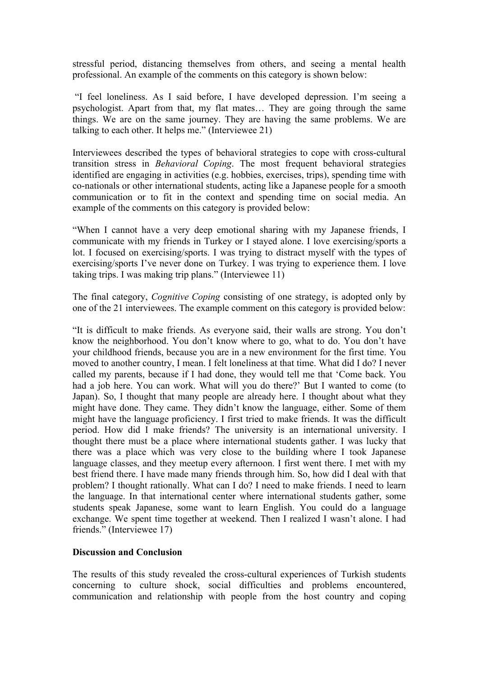stressful period, distancing themselves from others, and seeing a mental health professional. An example of the comments on this category is shown below:

"I feel loneliness. As I said before, I have developed depression. I'm seeing a psychologist. Apart from that, my flat mates… They are going through the same things. We are on the same journey. They are having the same problems. We are talking to each other. It helps me." (Interviewee 21)

Interviewees described the types of behavioral strategies to cope with cross-cultural transition stress in *Behavioral Coping*. The most frequent behavioral strategies identified are engaging in activities (e.g. hobbies, exercises, trips), spending time with co-nationals or other international students, acting like a Japanese people for a smooth communication or to fit in the context and spending time on social media. An example of the comments on this category is provided below:

"When I cannot have a very deep emotional sharing with my Japanese friends, I communicate with my friends in Turkey or I stayed alone. I love exercising/sports a lot. I focused on exercising/sports. I was trying to distract myself with the types of exercising/sports I've never done on Turkey. I was trying to experience them. I love taking trips. I was making trip plans." (Interviewee 11)

The final category, *Cognitive Coping* consisting of one strategy, is adopted only by one of the 21 interviewees. The example comment on this category is provided below:

"It is difficult to make friends. As everyone said, their walls are strong. You don't know the neighborhood. You don't know where to go, what to do. You don't have your childhood friends, because you are in a new environment for the first time. You moved to another country, I mean. I felt loneliness at that time. What did I do? I never called my parents, because if I had done, they would tell me that 'Come back. You had a job here. You can work. What will you do there?' But I wanted to come (to Japan). So, I thought that many people are already here. I thought about what they might have done. They came. They didn't know the language, either. Some of them might have the language proficiency. I first tried to make friends. It was the difficult period. How did I make friends? The university is an international university. I thought there must be a place where international students gather. I was lucky that there was a place which was very close to the building where I took Japanese language classes, and they meetup every afternoon. I first went there. I met with my best friend there. I have made many friends through him. So, how did I deal with that problem? I thought rationally. What can I do? I need to make friends. I need to learn the language. In that international center where international students gather, some students speak Japanese, some want to learn English. You could do a language exchange. We spent time together at weekend. Then I realized I wasn't alone. I had friends." (Interviewee 17)

# **Discussion and Conclusion**

The results of this study revealed the cross-cultural experiences of Turkish students concerning to culture shock, social difficulties and problems encountered, communication and relationship with people from the host country and coping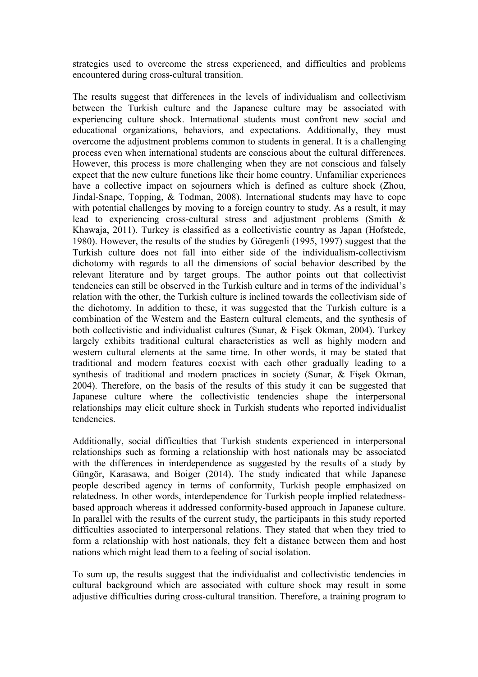strategies used to overcome the stress experienced, and difficulties and problems encountered during cross-cultural transition.

The results suggest that differences in the levels of individualism and collectivism between the Turkish culture and the Japanese culture may be associated with experiencing culture shock. International students must confront new social and educational organizations, behaviors, and expectations. Additionally, they must overcome the adjustment problems common to students in general. It is a challenging process even when international students are conscious about the cultural differences. However, this process is more challenging when they are not conscious and falsely expect that the new culture functions like their home country. Unfamiliar experiences have a collective impact on sojourners which is defined as culture shock (Zhou, Jindal-Snape, Topping, & Todman, 2008). International students may have to cope with potential challenges by moving to a foreign country to study. As a result, it may lead to experiencing cross-cultural stress and adjustment problems (Smith & Khawaja, 2011). Turkey is classified as a collectivistic country as Japan (Hofstede, 1980). However, the results of the studies by Göregenli (1995, 1997) suggest that the Turkish culture does not fall into either side of the individualism-collectivism dichotomy with regards to all the dimensions of social behavior described by the relevant literature and by target groups. The author points out that collectivist tendencies can still be observed in the Turkish culture and in terms of the individual's relation with the other, the Turkish culture is inclined towards the collectivism side of the dichotomy. In addition to these, it was suggested that the Turkish culture is a combination of the Western and the Eastern cultural elements, and the synthesis of both collectivistic and individualist cultures (Sunar, & Fişek Okman, 2004). Turkey largely exhibits traditional cultural characteristics as well as highly modern and western cultural elements at the same time. In other words, it may be stated that traditional and modern features coexist with each other gradually leading to a synthesis of traditional and modern practices in society (Sunar, & Fisek Okman, 2004). Therefore, on the basis of the results of this study it can be suggested that Japanese culture where the collectivistic tendencies shape the interpersonal relationships may elicit culture shock in Turkish students who reported individualist tendencies.

Additionally, social difficulties that Turkish students experienced in interpersonal relationships such as forming a relationship with host nationals may be associated with the differences in interdependence as suggested by the results of a study by Güngör, Karasawa, and Boiger (2014). The study indicated that while Japanese people described agency in terms of conformity, Turkish people emphasized on relatedness. In other words, interdependence for Turkish people implied relatednessbased approach whereas it addressed conformity-based approach in Japanese culture. In parallel with the results of the current study, the participants in this study reported difficulties associated to interpersonal relations. They stated that when they tried to form a relationship with host nationals, they felt a distance between them and host nations which might lead them to a feeling of social isolation.

To sum up, the results suggest that the individualist and collectivistic tendencies in cultural background which are associated with culture shock may result in some adjustive difficulties during cross-cultural transition. Therefore, a training program to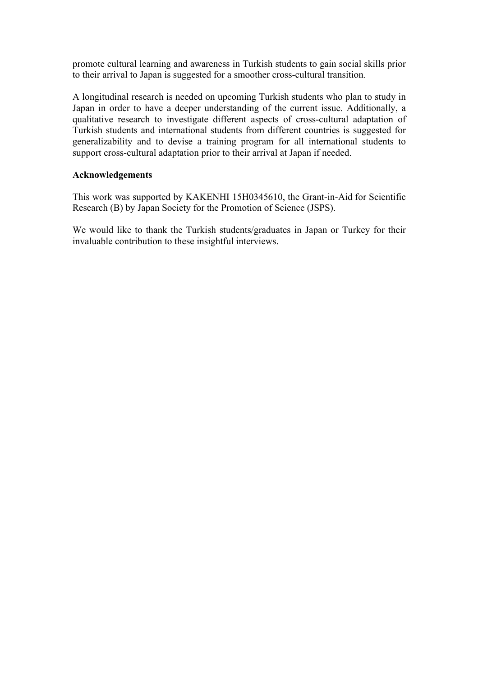promote cultural learning and awareness in Turkish students to gain social skills prior to their arrival to Japan is suggested for a smoother cross-cultural transition.

A longitudinal research is needed on upcoming Turkish students who plan to study in Japan in order to have a deeper understanding of the current issue. Additionally, a qualitative research to investigate different aspects of cross-cultural adaptation of Turkish students and international students from different countries is suggested for generalizability and to devise a training program for all international students to support cross-cultural adaptation prior to their arrival at Japan if needed.

# **Acknowledgements**

This work was supported by KAKENHI 15H0345610, the Grant-in-Aid for Scientific Research (B) by Japan Society for the Promotion of Science (JSPS).

We would like to thank the Turkish students/graduates in Japan or Turkey for their invaluable contribution to these insightful interviews.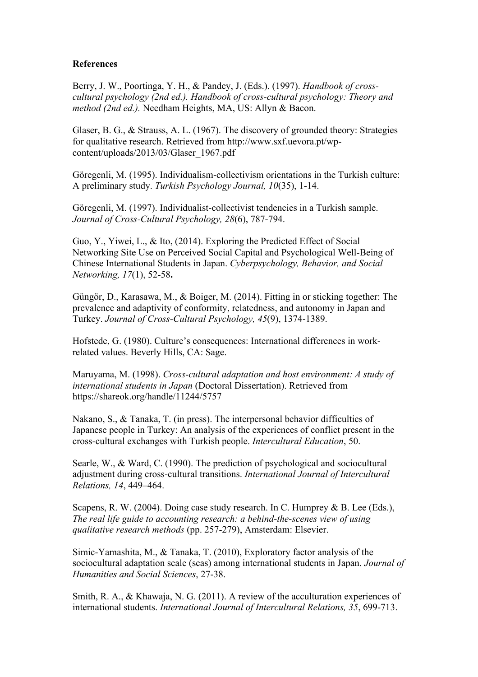# **References**

Berry, J. W., Poortinga, Y. H., & Pandey, J. (Eds.). (1997). *Handbook of crosscultural psychology (2nd ed.). Handbook of cross-cultural psychology: Theory and method (2nd ed.).* Needham Heights, MA, US: Allyn & Bacon.

Glaser, B. G., & Strauss, A. L. (1967). The discovery of grounded theory: Strategies for qualitative research. Retrieved from http://www.sxf.uevora.pt/wpcontent/uploads/2013/03/Glaser\_1967.pdf

Göregenli, M. (1995). Individualism-collectivism orientations in the Turkish culture: A preliminary study. *Turkish Psychology Journal, 10*(35), 1-14.

Göregenli, M. (1997). Individualist-collectivist tendencies in a Turkish sample. *Journal of Cross-Cultural Psychology, 28*(6), 787-794.

Guo, Y., Yiwei, L., & Ito, (2014). Exploring the Predicted Effect of Social Networking Site Use on Perceived Social Capital and Psychological Well-Being of Chinese International Students in Japan. *Cyberpsychology, Behavior, and Social Networking, 17*(1), 52-58**.**

Güngör, D., Karasawa, M., & Boiger, M. (2014). Fitting in or sticking together: The prevalence and adaptivity of conformity, relatedness, and autonomy in Japan and Turkey. *Journal of Cross-Cultural Psychology, 45*(9), 1374-1389.

Hofstede, G. (1980). Culture's consequences: International differences in workrelated values. Beverly Hills, CA: Sage.

Maruyama, M. (1998). *Cross-cultural adaptation and host environment: A study of international students in Japan* (Doctoral Dissertation). Retrieved from https://shareok.org/handle/11244/5757

Nakano, S., & Tanaka, T. (in press). The interpersonal behavior difficulties of Japanese people in Turkey: An analysis of the experiences of conflict present in the cross-cultural exchanges with Turkish people. *Intercultural Education*, 50.

Searle, W., & Ward, C. (1990). The prediction of psychological and sociocultural adjustment during cross-cultural transitions. *International Journal of Intercultural Relations, 14*, 449–464.

Scapens, R. W. (2004). Doing case study research. In C. Humprey & B. Lee (Eds.), *The real life guide to accounting research: a behind-the-scenes view of using qualitative research methods* (pp. 257-279), Amsterdam: Elsevier.

Simic-Yamashita, M., & Tanaka, T. (2010), Exploratory factor analysis of the sociocultural adaptation scale (scas) among international students in Japan. *Journal of Humanities and Social Sciences*, 27-38.

Smith, R. A., & Khawaja, N. G. (2011). A review of the acculturation experiences of international students. *International Journal of Intercultural Relations, 35*, 699-713.